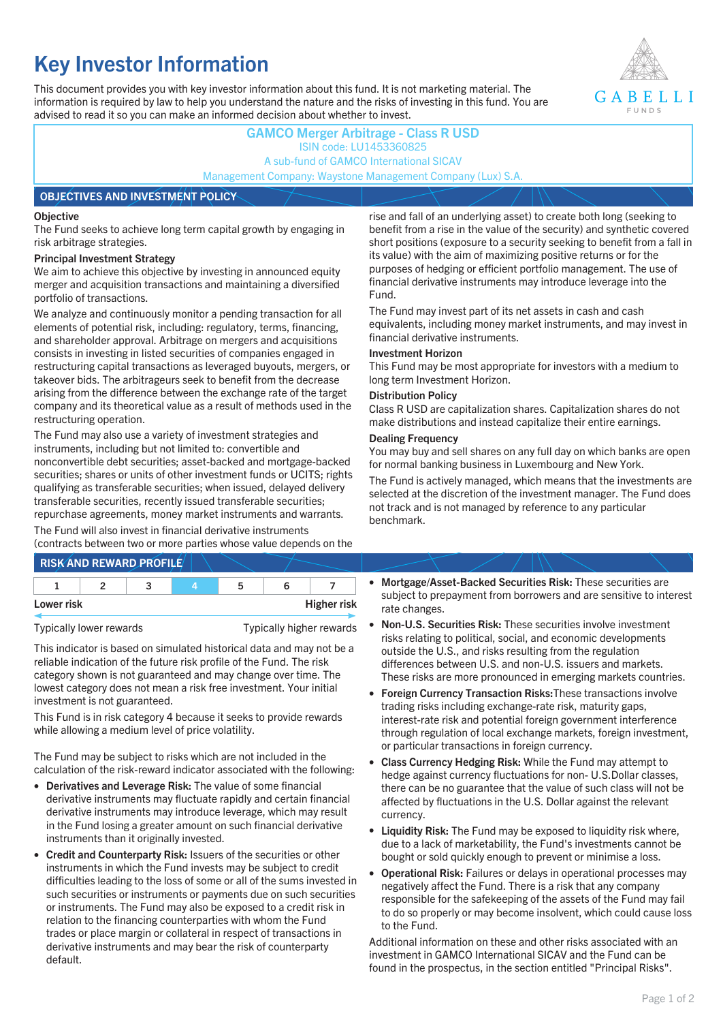# **Key Investor Information**

This document provides you with key investor information about this fund. It is not marketing material. The information is required by law to help you understand the nature and the risks of investing in this fund. You are advised to read it so you can make an informed decision about whether to invest.



## **GAMCO Merger Arbitrage - Class R USD** ISIN code: LU1453360825 A sub-fund of GAMCO International SICAV Management Company: Waystone Management Company (Lux) S.A.

### **OBJECTIVES AND INVESTMENT POLICY**

### **Objective**

The Fund seeks to achieve long term capital growth by engaging in risk arbitrage strategies.

### **Principal Investment Strategy**

We aim to achieve this objective by investing in announced equity merger and acquisition transactions and maintaining a diversified portfolio of transactions.

We analyze and continuously monitor a pending transaction for all elements of potential risk, including: regulatory, terms, financing, and shareholder approval. Arbitrage on mergers and acquisitions consists in investing in listed securities of companies engaged in restructuring capital transactions as leveraged buyouts, mergers, or takeover bids. The arbitrageurs seek to benefit from the decrease arising from the difference between the exchange rate of the target company and its theoretical value as a result of methods used in the restructuring operation.

The Fund may also use a variety of investment strategies and instruments, including but not limited to: convertible and nonconvertible debt securities; asset-backed and mortgage-backed securities; shares or units of other investment funds or UCITS; rights qualifying as transferable securities; when issued, delayed delivery transferable securities, recently issued transferable securities; repurchase agreements, money market instruments and warrants.

The Fund will also invest in financial derivative instruments (contracts between two or more parties whose value depends on the

|            | <b>RISK AND REWARD PROFILE</b> |    |                    |
|------------|--------------------------------|----|--------------------|
|            |                                | 'n |                    |
| Lower risk |                                |    | <b>Higher risk</b> |

Typically lower rewards Typically higher rewards

This indicator is based on simulated historical data and may not be a reliable indication of the future risk profile of the Fund. The risk category shown is not guaranteed and may change over time. The lowest category does not mean a risk free investment. Your initial investment is not guaranteed.

This Fund is in risk category 4 because it seeks to provide rewards while allowing a medium level of price volatility.

The Fund may be subject to risks which are not included in the calculation of the risk-reward indicator associated with the following:

- **Derivatives and Leverage Risk:** The value of some financial derivative instruments may fluctuate rapidly and certain financial derivative instruments may introduce leverage, which may result in the Fund losing a greater amount on such financial derivative instruments than it originally invested.
- **Credit and Counterparty Risk:** Issuers of the securities or other instruments in which the Fund invests may be subject to credit difficulties leading to the loss of some or all of the sums invested in such securities or instruments or payments due on such securities or instruments. The Fund may also be exposed to a credit risk in relation to the financing counterparties with whom the Fund trades or place margin or collateral in respect of transactions in derivative instruments and may bear the risk of counterparty default.

rise and fall of an underlying asset) to create both long (seeking to benefit from a rise in the value of the security) and synthetic covered short positions (exposure to a security seeking to benefit from a fall in its value) with the aim of maximizing positive returns or for the purposes of hedging or efficient portfolio management. The use of financial derivative instruments may introduce leverage into the Fund.

The Fund may invest part of its net assets in cash and cash equivalents, including money market instruments, and may invest in financial derivative instruments.

### **Investment Horizon**

This Fund may be most appropriate for investors with a medium to long term Investment Horizon.

### **Distribution Policy**

Class R USD are capitalization shares. Capitalization shares do not make distributions and instead capitalize their entire earnings.

### **Dealing Frequency**

You may buy and sell shares on any full day on which banks are open for normal banking business in Luxembourg and New York.

The Fund is actively managed, which means that the investments are selected at the discretion of the investment manager. The Fund does not track and is not managed by reference to any particular benchmark.

- **Mortgage/Asset-Backed Securities Risk:** These securities are subject to prepayment from borrowers and are sensitive to interest rate changes.
- **Non-U.S. Securities Risk:** These securities involve investment risks relating to political, social, and economic developments outside the U.S., and risks resulting from the regulation differences between U.S. and non-U.S. issuers and markets. These risks are more pronounced in emerging markets countries.
- **Foreign Currency Transaction Risks:**These transactions involve trading risks including exchange-rate risk, maturity gaps, interest-rate risk and potential foreign government interference through regulation of local exchange markets, foreign investment, or particular transactions in foreign currency.
- **Class Currency Hedging Risk:** While the Fund may attempt to hedge against currency fluctuations for non- U.S.Dollar classes, there can be no guarantee that the value of such class will not be affected by fluctuations in the U.S. Dollar against the relevant currency.
- **Liquidity Risk:** The Fund may be exposed to liquidity risk where, due to a lack of marketability, the Fund's investments cannot be bought or sold quickly enough to prevent or minimise a loss.
- **Operational Risk:** Failures or delays in operational processes may negatively affect the Fund. There is a risk that any company responsible for the safekeeping of the assets of the Fund may fail to do so properly or may become insolvent, which could cause loss to the Fund.

Additional information on these and other risks associated with an investment in GAMCO International SICAV and the Fund can be found in the prospectus, in the section entitled "Principal Risks".